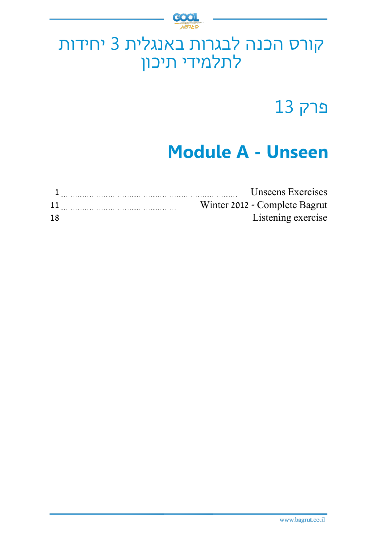

# קורס הכנה לבגרות באנגלית 3 יחידות לתלמידי תיכון

פרק 13

# **Module A - Unseen**

|    | Unseens Exercises             |
|----|-------------------------------|
| 11 | Winter 2012 - Complete Bagrut |
| 18 | Listening exercise            |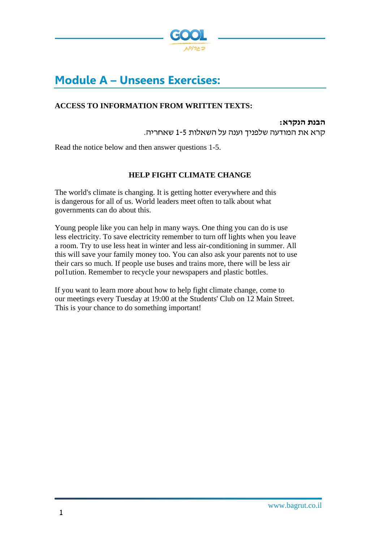

# **Module A – Unseens Exercises:**

#### **ACCESS TO INFORMATION FROM WRITTEN TEXTS:**

**הבנת הנקרא:**  קרא את המודעה שלפניך וענה על השאלות 1-5 שאחריה.

Read the notice below and then answer questions 1-5.

#### **HELP FIGHT CLIMATE CHANGE**

The world's climate is changing. It is getting hotter everywhere and this is dangerous for all of us. World leaders meet often to talk about what governments can do about this.

Young people like you can help in many ways. One thing you can do is use less electricity. To save electricity remember to turn off lights when you leave a room. Try to use less heat in winter and less air-conditioning in summer. All this will save your family money too. You can also ask your parents not to use their cars so much. If people use buses and trains more, there will be less air pol1ution. Remember to recycle your newspapers and plastic bottles.

If you want to learn more about how to help fight climate change, come to our meetings every Tuesday at 19:00 at the Students' Club on 12 Main Street. This is your chance to do something important!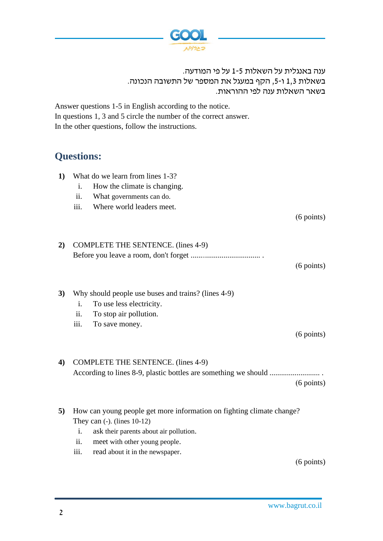

ענה באנגלית על השאלות 1-5 על פי המודעה. בשאלות 1,3 ו,5- הקף במעגל את המספר של התשובה הנכונה. בשאר השאלות ענה לפי ההוראות.

Answer questions 1-5 in English according to the notice. In questions 1, 3 and 5 circle the number of the correct answer. In the other questions, follow the instructions.

## **Questions:**

- **1)** What do we learn from lines 1-3?
	- i. How the climate is changing.
	- ii. What governments can do.
	- iii. Where world leaders meet.

 $(6$  points)

 $(6$  points)

| 2) COMPLETE THE SENTENCE. (lines 4-9) |
|---------------------------------------|
|                                       |

# **3)** Why should people use buses and trains? (lines 4-9)

- i. To use less electricity.
- ii. To stop air pollution.
- iii. To save money.

 $(6$  points)

#### **4)** COMPLETE THE SENTENCE. (lines 4-9) According to lines 8-9, plastic bottles are something we should .......................... .  $(6$  points)

- **5)** How can young people get more information on fighting climate change? They can (-). (lines 10-12)
	- i. ask their parents about air pollution.
	- ii. meet with other young people.
	- iii. read about it in the newspaper.

 $(6$  points)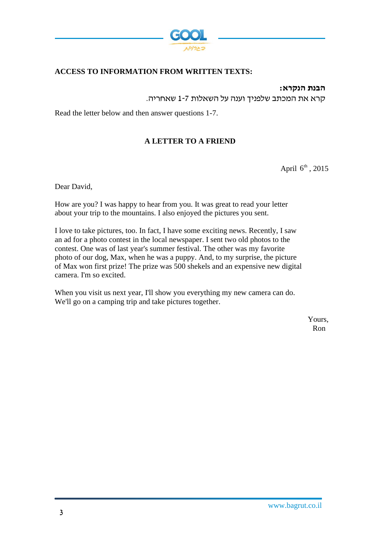

#### **ACCESS TO INFORMATION FROM WRITTEN TEXTS:**

**הבנת הנקרא:** 

קרא את המכתב שלפניך וענה על השאלות 1-7 שאחריה.

Read the letter below and then answer questions 1-7.

#### **A LETTER TO A FRIEND**

April  $6^{\text{th}}$ , 2015

Dear David,

How are you? I was happy to hear from you. It was great to read your letter about your trip to the mountains. I also enjoyed the pictures you sent.

I love to take pictures, too. In fact, I have some exciting news. Recently, I saw an ad for a photo contest in the local newspaper. I sent two old photos to the contest. One was of last year's summer festival. The other was my favorite photo of our dog, Max, when he was a puppy. And, to my surprise, the picture of Max won first prize! The prize was 500 shekels and an expensive new digital camera. I'm so excited.

When you visit us next year, I'll show you everything my new camera can do. We'll go on a camping trip and take pictures together.

> Yours, Ron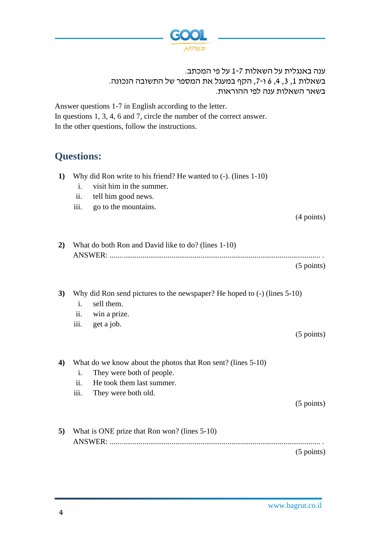

ענה באנגלית על השאלות 1-7 על פי המכתב. בשאלות ,1 ,3 ,4 6 ו- ,7 הקף במעגל את המספר של התשובה הנכונה. בשאר השאלות ענה לפי ההוראות.

Answer questions 1-7 in English according to the letter.

In questions 1, 3, 4, 6 and 7, circle the number of the correct answer. In the other questions, follow the instructions.

# **Questions:**

- **1)** Why did Ron write to his friend? He wanted to (-). (lines 1-10)
	- i. visit him in the summer.
	- ii. tell him good news.
	- iii. go to the mountains.

 $(4$  points)

| 2) What do both Ron and David like to do? (lines 1-10) |
|--------------------------------------------------------|
|                                                        |
| $(5 \text{ points})$                                   |

**3)** Why did Ron send pictures to the newspaper? He hoped to (-) (lines 5-10)

- i. sell them.
- ii. win a prize.
- iii. get a job.

 $(5$  points)

**4)** What do we know about the photos that Ron sent? (lines 5-10)

- i. They were both of people.
- ii. He took them last summer.
- iii. They were both old.

(5 points)

**5)** What is ONE prize that Ron won? (lines 5-10) ANSWER: ............................................................................................................. .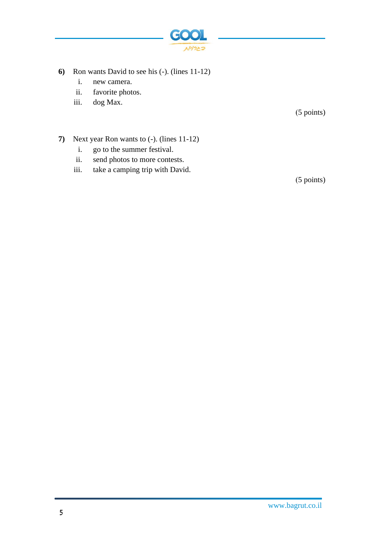

- **6)** Ron wants David to see his (-). (lines 11-12)
	- i. new camera.
	- ii. favorite photos.
	- iii. dog Max.

(5 points)

- **7)** Next year Ron wants to (-). (lines 11-12)
	- i. go to the summer festival.
	- ii. send photos to more contests.
	- iii. take a camping trip with David.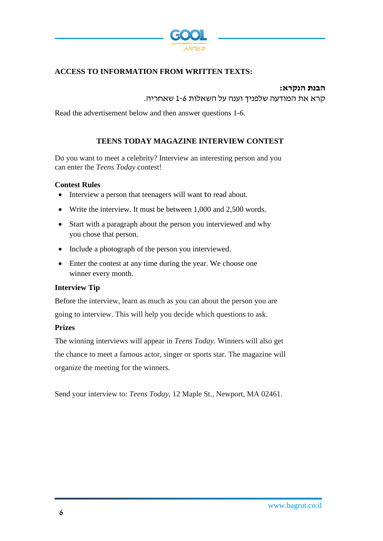

#### **ACCESS TO INFORMATION FROM WRITTEN TEXTS:**

#### **הבנת הנקרא:**  קרא את המודעה שלפניך וענה על השאלות 1-6 שאחריה.

Read the advertisement below and then answer questions 1-6.

#### **TEENS TODAY MAGAZINE INTERVIEW CONTEST**

Do you want to meet a celebrity? Interview an interesting person and you can enter the *Teens Today* contest!

#### **Contest Rules**

- Interview a person that teenagers will want to read about.
- Write the interview. It must be between 1,000 and 2,500 words.
- Start with a paragraph about the person you interviewed and why you chose that person.
- Include a photograph of the person you interviewed.
- Enter the contest at any time during the year. We choose one winner every month.

#### **Interview Tip**

Before the interview, learn as much as you can about the person you are going to interview. This will help you decide which questions to ask.

#### **Prizes**

The winning interviews will appear in *Teens Today.* Winners will also get the chance to meet a famous actor, singer or sports star. The magazine will organize the meeting for the winners.

Send your interview to: *Teens Today,* 12 Maple St., Newport, MA 02461.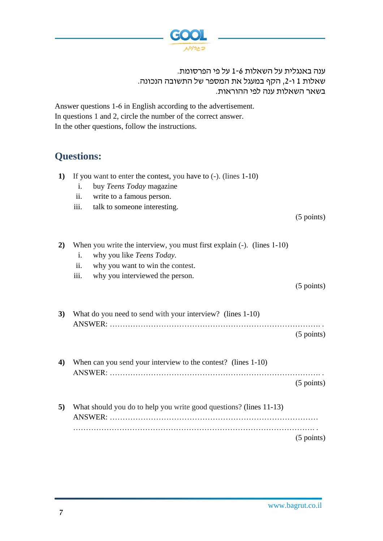

ענה באנגלית על השאלות 1-6 על פי הפרסומת. שאלות 1 ו ,2- הקף במעגל את המספר של התשובה הנכונה. בשאר השאלות ענה לפי ההוראות.

Answer questions 1-6 in English according to the advertisement. In questions 1 and 2, circle the number of the correct answer. In the other questions, follow the instructions.

# **Questions:**

- **1)** If you want to enter the contest, you have to (-). (lines 1-10)
	- i. buy *Teens Today* magazine
	- ii. write to a famous person.
	- iii. talk to someone interesting.

 $(5$  points)

**2)** When you write the interview, you must first explain (-). (lines 1-10) i. why you like *Teens Today*. ii. why you want to win the contest. iii. why you interviewed the person. (5 points)

**3)** What do you need to send with your interview? (lines 1-10) ANSWER: ………………………………………………………………………. .  $(5$  points)

**4)** When can you send your interview to the contest? (lines 1-10) ANSWER: ………………………………………………………………………. . (5 points)

**5)** What should you do to help you write good questions? (lines 11-13) ANSWER: ……………………………………………………………………… …………………………………………………………………………………. .  $(5$  points)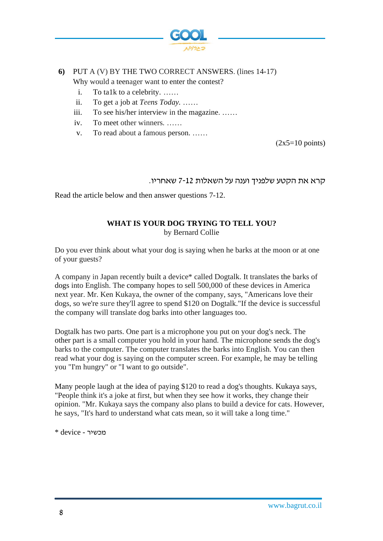

#### **6)** PUT A (V) BY THE TWO CORRECT ANSWERS. (lines 14-17) Why would a teenager want to enter the contest?

- i. To ta1k to a celebrity. ……
- ii. To get a job at *Teens Today.* ……
- iii. To see his/her interview in the magazine. ……
- iv. To meet other winners*.* ……
- v. To read about a famous person. ……

 $(2x5=10 \text{ points})$ 

#### קרא את הקטע שלפניך וענה על השאלות 7-12 שאחריו.

Read the article below and then answer questions 7-12.

### **WHAT IS YOUR DOG TRYING TO TELL YOU?**

by Bernard Collie

Do you ever think about what your dog is saying when he barks at the moon or at one of your guests?

A company in Japan recently built a device\* called Dogtalk. It translates the barks of dogs into English. The company hopes to sell 500,000 of these devices in America next year. Mr. Ken Kukaya, the owner of the company, says, "Americans love their dogs, so we're sure they'll agree to spend \$120 on Dogtalk."If the device is successful the company will translate dog barks into other languages too.

Dogtalk has two parts. One part is a microphone you put on your dog's neck. The other part is a small computer you hold in your hand. The microphone sends the dog's barks to the computer. The computer translates the barks into English. You can then read what your dog is saying on the computer screen. For example, he may be telling you "I'm hungry" or "I want to go outside".

Many people laugh at the idea of paying \$120 to read a dog's thoughts. Kukaya says, "People think it's a joke at first, but when they see how it works, they change their opinion. "Mr. Kukaya says the company also plans to build a device for cats. However, he says, "It's hard to understand what cats mean, so it will take a long time."

מכשיר - device\*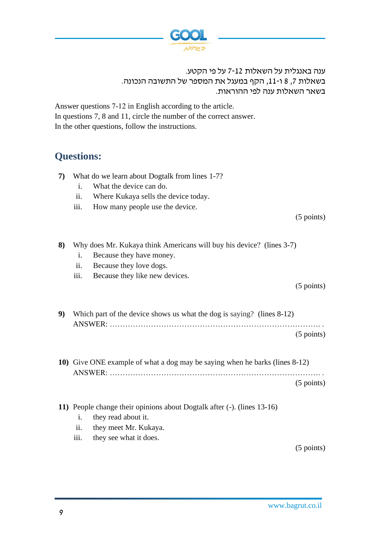

ענה באנגלית על השאלות 7-12 על פי הקטע. בשאלות ,7 8 ו- ,11 הקף במעגל את המספר של התשובה הנכונה. בשאר השאלות ענה לפי ההוראות.

Answer questions 7-12 in English according to the article. In questions 7, 8 and 11, circle the number of the correct answer. In the other questions, follow the instructions.

# **Questions:**

| 7) | What do we learn about Dogtalk from lines 1-7?<br>What the device can do.<br>$\mathbf{i}$ .<br>ii.<br>Where Kukaya sells the device today.<br>iii.<br>How many people use the device. | $(5 \text{ points})$ |
|----|---------------------------------------------------------------------------------------------------------------------------------------------------------------------------------------|----------------------|
| 8) | Why does Mr. Kukaya think Americans will buy his device? (lines 3-7)<br>Because they have money.<br>i.<br>ii.<br>Because they love dogs.<br>iii.<br>Because they like new devices.    |                      |
|    |                                                                                                                                                                                       | $(5 \text{ points})$ |
| 9) | Which part of the device shows us what the dog is saying? (lines 8-12)                                                                                                                | $(5 \text{ points})$ |
|    | 10) Give ONE example of what a dog may be saying when he barks (lines 8-12)                                                                                                           | $(5 \text{ points})$ |
|    |                                                                                                                                                                                       |                      |
|    | 11) People change their opinions about Dogtalk after (-). (lines 13-16)<br>they read about it.<br>i.<br>ii.<br>they meet Mr. Kukaya.<br>iii.<br>they see what it does.                |                      |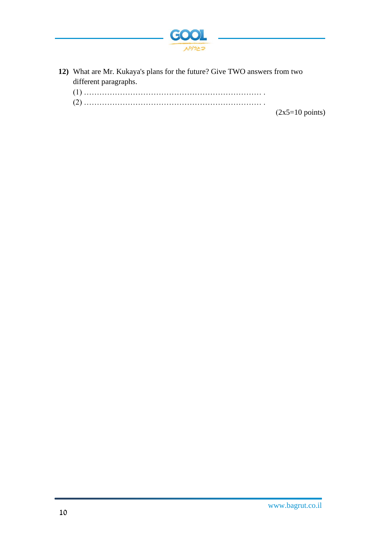

**12)** What are Mr. Kukaya's plans for the future? Give TWO answers from two different paragraphs.

| (1) |  |
|-----|--|
|-----|--|

(2) …………………………………………………………… .

 $(2x5=10 \text{ points})$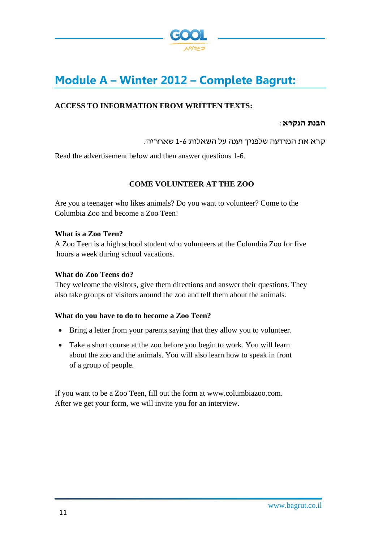

# **Module A – Winter 2012 – Complete Bagrut:**

#### **ACCESS TO INFORMATION FROM WRITTEN TEXTS:**

#### **הבנת הנקרא**:

קרא את המודעה שלפניך וענה על השאלות 1-6 שאחריה.

Read the advertisement below and then answer questions 1-6.

#### **COME VOLUNTEER AT THE ZOO**

Are you a teenager who likes animals? Do you want to volunteer? Come to the Columbia Zoo and become a Zoo Teen!

#### **What is a Zoo Teen?**

A Zoo Teen is a high school student who volunteers at the Columbia Zoo for five hours a week during school vacations.

#### **What do Zoo Teens do?**

They welcome the visitors, give them directions and answer their questions. They also take groups of visitors around the zoo and tell them about the animals.

#### **What do you have to do to become a Zoo Teen?**

- Bring a letter from your parents saying that they allow you to volunteer.
- Take a short course at the zoo before you begin to work. You will learn about the zoo and the animals. You will also learn how to speak in front of a group of people.

If you want to be a Zoo Teen, fill out the form at www.columbiazoo.com. After we get your form, we will invite you for an interview.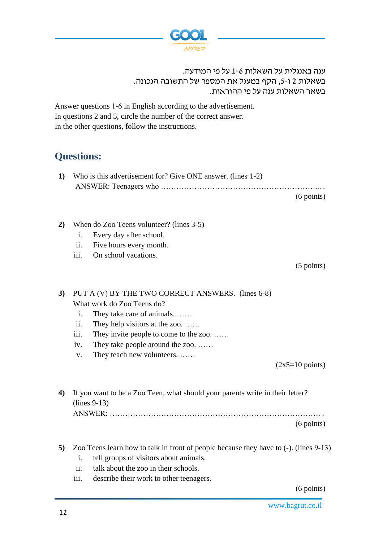

#### ענה באנגלית על השאלות 1-6 על פי המודעה. בשאלות 2 ו,5- הקף במעגל את המספר של התשובה הנכונה. בשאר השאלות ענה על פי ההוראות.

Answer questions 1-6 in English according to the advertisement. In questions 2 and 5, circle the number of the correct answer. In the other questions, follow the instructions.

# **Questions:**

| 1) Who is this advertisement for? Give ONE answer. (lines 1-2) |
|----------------------------------------------------------------|
|                                                                |
| $(6 \text{ points})$                                           |

- **2)** When do Zoo Teens volunteer? (lines 3-5)
	- i. Every day after school.
	- ii. Five hours every month.
	- iii. On school vacations.

 $(5$  points)

#### **3)** PUT A (V) BY THE TWO CORRECT ANSWERS. (lines 6-8) What work do Zoo Teens do?

- i. They take care of animals. ……
- ii. They help visitors at the zoo. ……
- iii. They invite people to come to the zoo. ……
- iv. They take people around the zoo. ……
- v. They teach new volunteers. ……

 $(2x5=10 \text{ points})$ 

**4)** If you want to be a Zoo Teen, what should your parents write in their letter? (lines 9-13) ANSWER: ………………………………………………………………………. .

(6 points)

- **5)** Zoo Teens learn how to talk in front of people because they have to (-). (lines 9-13)
	- i. tell groups of visitors about animals.
	- ii. talk about the zoo in their schools.
	- iii. describe their work to other teenagers.

(6 points)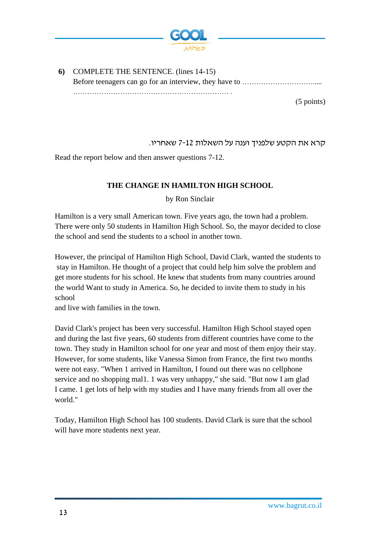

**6)** COMPLETE THE SENTENCE. (lines 14-15) Before teenagers can go for an interview, they have to …………………………..... ………………………………………………………… .

 $(5$  points)

קרא את הקטע שלפניך וענה על השאלות 7-12 שאחריו.

Read the report below and then answer questions 7-12.

#### **THE CHANGE IN HAMILTON HIGH SCHOOL**

by Ron Sinclair

Hamilton is a very small American town. Five years ago, the town had a problem. There were only 50 students in Hamilton High School. So, the mayor decided to close the school and send the students to a school in another town.

However, the principal of Hamilton High School, David Clark, wanted the students to stay in Hamilton. He thought of a project that could help him solve the problem and get more students for his school. He knew that students from many countries around the world Want to study in America. So, he decided to invite them to study in his school

and live with families in the town.

David Clark's project has been very successful. Hamilton High School stayed open and during the last five years, 60 students from different countries have come to the town. They study in Hamilton school for *one* year and most of them enjoy their stay. However, for some students, like Vanessa Simon from France, the first two months were not easy. "When 1 arrived in Hamilton, I found out there was no cellphone service and no shopping mal1. 1 was very unhappy," she said. "But now I am glad I came. 1 get lots of help with my studies and I have many friends from all over the world."

Today, Hamilton High School has 100 students. David Clark is sure that the school will have more students next year.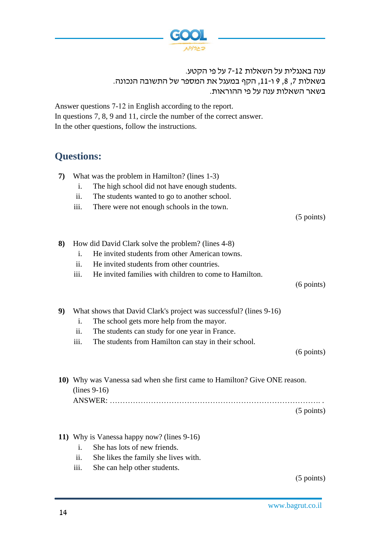

ענה באנגלית על השאלות 7-12 על פי הקטע. בשאלות 7, 8, 9 ו-11, הקף במעגל את המספר של התשובה הנכונה. בשאר השאלות ענה על פי ההוראות.

Answer questions 7-12 in English according to the report. In questions 7, 8, 9 and 11, circle the number of the correct answer. In the other questions, follow the instructions.

# **Questions:**

| 7) | What was the problem in Hamilton? (lines 1-3) |                                                    |  |  |  |  |
|----|-----------------------------------------------|----------------------------------------------------|--|--|--|--|
|    | $\mathbf{1}$ .                                | The high school did not have enough students.      |  |  |  |  |
|    | $\overline{11}$ .                             | The students wanted to go to another school.       |  |  |  |  |
|    | iii.                                          | There were not enough schools in the town.         |  |  |  |  |
|    |                                               |                                                    |  |  |  |  |
|    |                                               |                                                    |  |  |  |  |
| 8) |                                               | How did David Clark solve the problem? (lines 4-8) |  |  |  |  |
|    |                                               |                                                    |  |  |  |  |
|    | $\mathbf{i}$ .                                | He invited students from other American towns.     |  |  |  |  |
|    | $\overline{11}$ .                             | He invited students from other countries.          |  |  |  |  |
|    |                                               |                                                    |  |  |  |  |

iii. He invited families with children to come to Hamilton.

 $(6$  points)

 $(5$  points)

- **9)** What shows that David Clark's project was successful? (lines 9-16)
	- i. The school gets more help from the mayor.
	- ii. The students can study for one year in France.
	- iii. The students from Hamilton can stay in their school.

(6 points)

**10)** Why was Vanessa sad when she first came to Hamilton? Give ONE reason. (lines 9-16) ANSWER: ………………………………………………………………………. .  $(5$  points)

- **11)** Why is Vanessa happy now? (lines 9-16)
	- i. She has lots of new friends.
	- ii. She likes the family she lives with.
	- iii. She can help other students.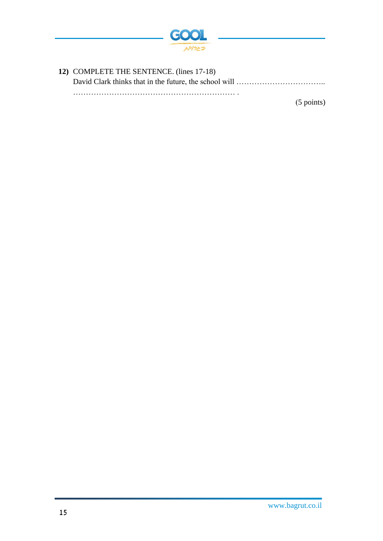

**12)** COMPLETE THE SENTENCE. (lines 17-18) David Clark thinks that in the future, the school will …………………………………………………………………… ……………………………………………………… .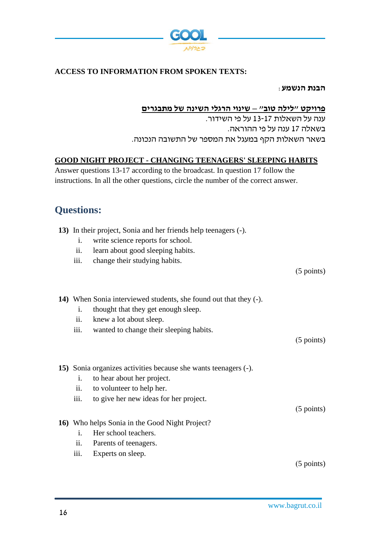

#### **ACCESS TO INFORMATION FROM SPOKEN TEXTS:**

**הבנת הנ שמע**:

#### **פרויקט "לילה טוב" – שינוי הרגלי השינה של מתבגרים**

ענה על השאלות 13-17 על פי השידור. בשאלה 17 ענה על פי ההוראה. בשאר השאלות הקף במעגל את המספר של התשובה הנכונה.

#### **GOOD NIGHT PROJECT - CHANGING TEENAGERS' SLEEPING HABITS**

Answer questions 13-17 according to the broadcast. In question 17 follow the instructions. In all the other questions, circle the number of the correct answer.

### **Questions:**

- **13)** In their project, Sonia and her friends help teenagers (-).
	- i. write science reports for school.
	- ii. learn about good sleeping habits.
	- iii. change their studying habits.

(5 points)

**14)** When Sonia interviewed students, she found out that they (-).

- i. thought that they get enough sleep.
- ii. knew a lot about sleep.
- iii. wanted to change their sleeping habits.

 $(5$  points)

**15)** Sonia organizes activities because she wants teenagers (-).

- i. to hear about her project.
- ii. to volunteer to help her.
- iii. to give her new ideas for her project.

 $(5$  points)

- **16)** Who helps Sonia in the Good Night Project?
	- i. Her school teachers.
	- ii. Parents of teenagers.
	- iii. Experts on sleep.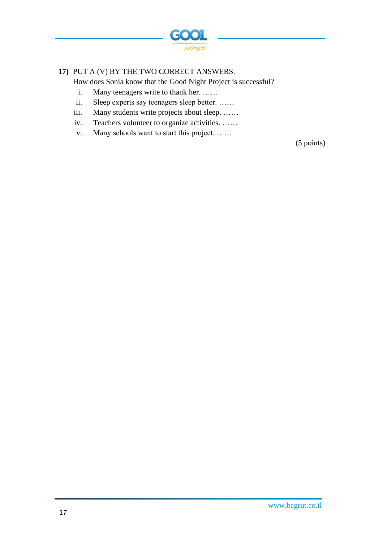

#### **17)** PUT A (V) BY THE TWO CORRECT ANSWERS.

How does Sonia know that the Good Night Project is successful?

- i. Many teenagers write to thank her. ……
- ii. Sleep experts say teenagers sleep better. ……
- iii. Many students write projects about sleep. ……
- iv. Teachers volunteer to organize activities. ……
- v. Many schools want to start this project. ……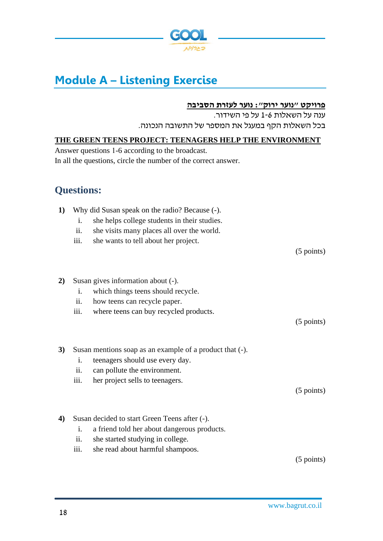

# **Module A – Listening Exercise**

#### **פרויקט "נוער ירוק": נוער לעזרת הסביבה**

ענה על השאלות 1-6 על פי השידור. בכל השאלות הקף במעגל את המספר של התשובה הנכונה.

## **THE GREEN TEENS PROJECT: TEENAGERS HELP THE ENVIRONMENT**

Answer questions 1-6 according to the broadcast. In all the questions, circle the number of the correct answer.

# **Questions:**

| $\bf{1}$         | Why did Susan speak on the radio? Because (-).<br>she helps college students in their studies.<br>i.<br>she visits many places all over the world.<br>ii.<br>iii.<br>she wants to tell about her project. | $(5 \text{ points})$ |
|------------------|-----------------------------------------------------------------------------------------------------------------------------------------------------------------------------------------------------------|----------------------|
| 2)               | Susan gives information about (-).<br>which things teens should recycle.<br>$\mathbf{i}$ .<br>ii.<br>how teens can recycle paper.<br>where teens can buy recycled products.<br>iii.                       | $(5$ points)         |
| 3)               | Susan mentions soap as an example of a product that (-).<br>$\mathbf{i}$ .<br>teenagers should use every day.<br>ii.<br>can pollute the environment.<br>iii.<br>her project sells to teenagers.           | $(5 \text{ points})$ |
| $\boldsymbol{4}$ | Susan decided to start Green Teens after (-).<br>i.<br>a friend told her about dangerous products.<br>ii.<br>she started studying in college.<br>iii.<br>she read about harmful shampoos.                 | $(5$ points)         |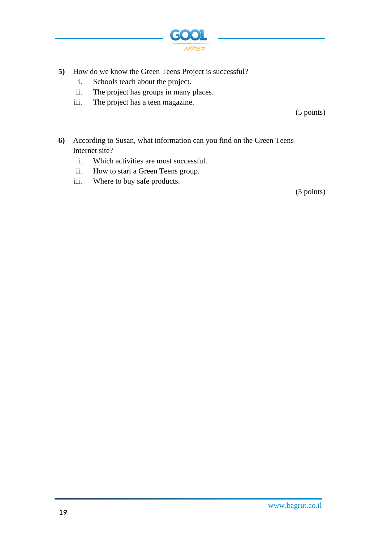

- **5)** How do we know the Green Teens Project is successful?
	- i. Schools teach about the project.
	- ii. The project has groups in many places.
	- iii. The project has a teen magazine.

(5 points)

- **6)** According to Susan, what information can you find on the Green Teens Internet site?
	- i. Which activities are most successful.
	- ii. How to start a Green Teens group.
	- iii. Where to buy safe products.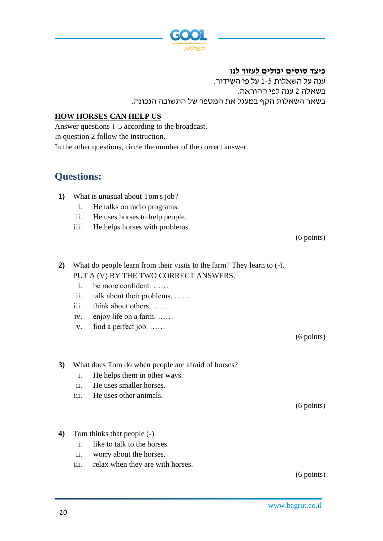

**כיצד סוסים יכולים לעזור לנו**

ענה על השאלות 1-5 על פי השידור. בשאלה 2 ענה לפי ההוראה. בשאר השאלות הקף במעגל את המספר של התשובה הנכונה.

#### **HOW HORSES CAN HELP US**

Answer questions 1-5 according to the broadcast. In question 2 follow the instruction. In the other questions, circle the number of the correct answer.

### **Questions:**

- **1)** What is unusual about Tom's job?
	- i. He talks on radio programs.
	- ii. He uses horses to help people.
	- iii. He helps horses with problems.

```
(6 points)
```
- **2)** What do people learn from their visits to the farm? They learn to (-). PUT A (V) BY THE TWO CORRECT ANSWERS.
	- i. be more confident. ……
	- ii. talk about their problems. ……
	- iii. think about others. ……
	- iv. enjoy life on a farm. ……
	- v. find a perfect job. ……

(6 points)

**3)** What does Tom do when people are afraid of horses?

- i. He helps them in other ways.
- ii. He uses smaller horses.
- iii. He uses other animals.

(6 points)

- **4)** Tom thinks that people (-).
	- i. like to talk to the horses.
	- ii. worry about the horses.
	- iii. relax when they are with horses.

(6 points)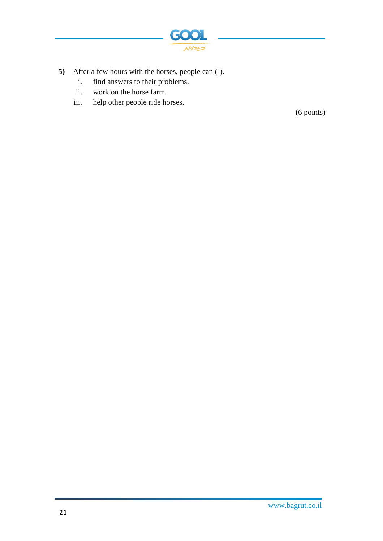

- **5)** After a few hours with the horses, people can (-).
	- i. find answers to their problems.
	- ii. work on the horse farm.
	- iii. help other people ride horses.

(6 points)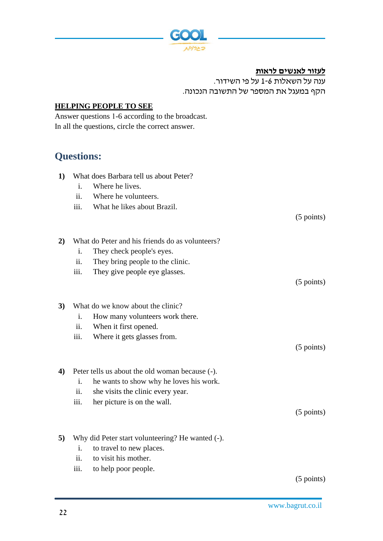

**לעזור לאנשים לראות** 

ענה על השאלות 1-6 על פי השידור. הקף במעגל את המספר של התשובה הנכונה.

#### **HELPING PEOPLE TO SEE**

Answer questions 1-6 according to the broadcast. In all the questions, circle the correct answer.

## **Questions:**

- **1)** What does Barbara tell us about Peter?
	- i. Where he lives.
	- ii. Where he volunteers.
	- iii. What he likes about Brazil.

(5 points)

| 2) |  |  |  |  |  | What do Peter and his friends do as volunteers? |
|----|--|--|--|--|--|-------------------------------------------------|
|----|--|--|--|--|--|-------------------------------------------------|

- i. They check people's eyes.
- ii. They bring people to the clinic.
- iii. They give people eye glasses.

(5 points)

- **3)** What do we know about the clinic?
	- i. How many volunteers work there.
	- ii. When it first opened.
	- iii. Where it gets glasses from.

(5 points)

- **4)** Peter tells us about the old woman because (-).
	- i. he wants to show why he loves his work.
	- ii. she visits the clinic every year.
	- iii. her picture is on the wall.

(5 points)

- **5)** Why did Peter start volunteering? He wanted (-).
	- i. to travel to new places.
	- ii. to visit his mother.
	- iii. to help poor people.